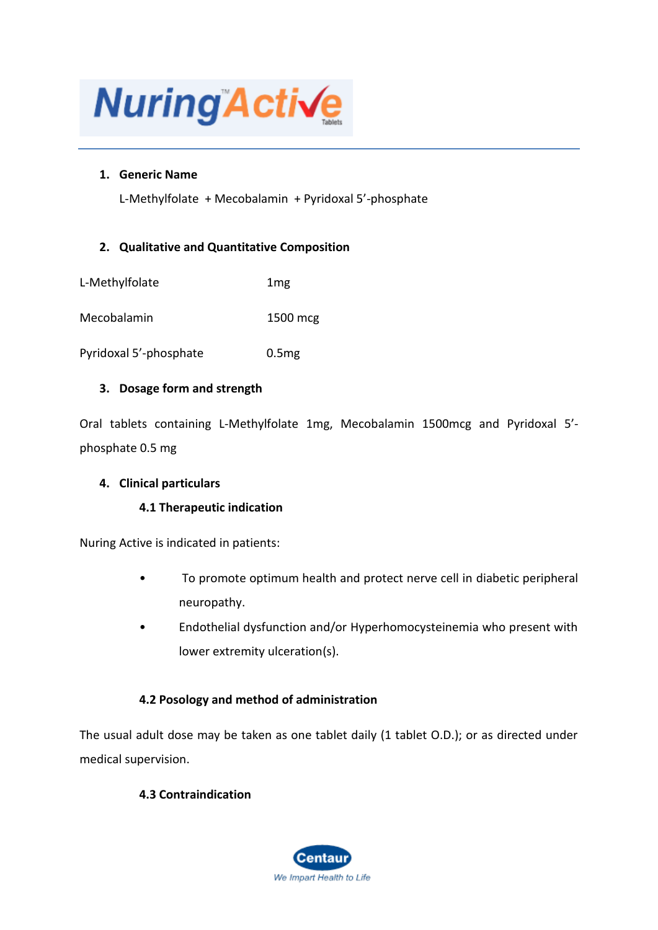

# **1. Generic Name**

L-Methylfolate + Mecobalamin + Pyridoxal 5'-phosphate

# **2. Qualitative and Quantitative Composition**

| L-Methylfolate | 1 <sub>mg</sub> |
|----------------|-----------------|
|----------------|-----------------|

Mecobalamin 1500 mcg

Pyridoxal 5'-phosphate 0.5mg

## **3. Dosage form and strength**

Oral tablets containing L-Methylfolate 1mg, Mecobalamin 1500mcg and Pyridoxal 5' phosphate 0.5 mg

## **4. Clinical particulars**

# **4.1 Therapeutic indication**

Nuring Active is indicated in patients:

- To promote optimum health and protect nerve cell in diabetic peripheral neuropathy.
- Endothelial dysfunction and/or Hyperhomocysteinemia who present with lower extremity ulceration(s).

# **4.2 Posology and method of administration**

The usual adult dose may be taken as one tablet daily (1 tablet O.D.); or as directed under medical supervision.

# **4.3 Contraindication**

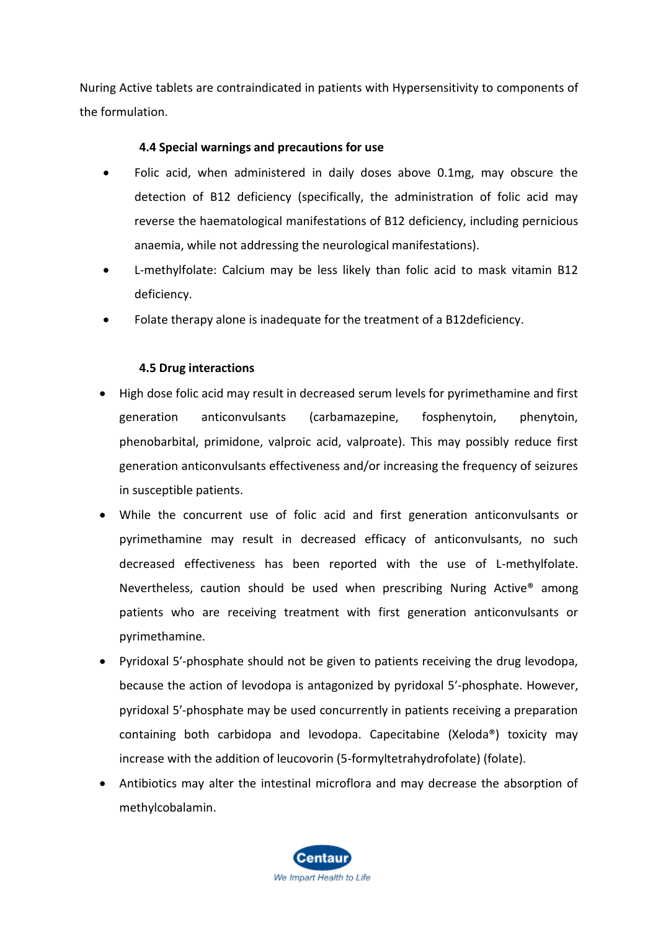Nuring Active tablets are contraindicated in patients with Hypersensitivity to components of the formulation.

# **4.4 Special warnings and precautions for use**

- Folic acid, when administered in daily doses above 0.1mg, may obscure the detection of B12 deficiency (specifically, the administration of folic acid may reverse the haematological manifestations of B12 deficiency, including pernicious anaemia, while not addressing the neurological manifestations).
- L-methylfolate: Calcium may be less likely than folic acid to mask vitamin B12 deficiency.
- Folate therapy alone is inadequate for the treatment of a B12deficiency.

# **4.5 Drug interactions**

- High dose folic acid may result in decreased serum levels for pyrimethamine and first generation anticonvulsants (carbamazepine, fosphenytoin, phenytoin, phenobarbital, primidone, valproic acid, valproate). This may possibly reduce first generation anticonvulsants effectiveness and/or increasing the frequency of seizures in susceptible patients.
- While the concurrent use of folic acid and first generation anticonvulsants or pyrimethamine may result in decreased efficacy of anticonvulsants, no such decreased effectiveness has been reported with the use of L-methylfolate. Nevertheless, caution should be used when prescribing Nuring Active® among patients who are receiving treatment with first generation anticonvulsants or pyrimethamine.
- Pyridoxal 5′-phosphate should not be given to patients receiving the drug levodopa, because the action of levodopa is antagonized by pyridoxal 5′-phosphate. However, pyridoxal 5′-phosphate may be used concurrently in patients receiving a preparation containing both carbidopa and levodopa. Capecitabine (Xeloda®) toxicity may increase with the addition of leucovorin (5-formyltetrahydrofolate) (folate).
- Antibiotics may alter the intestinal microflora and may decrease the absorption of methylcobalamin.

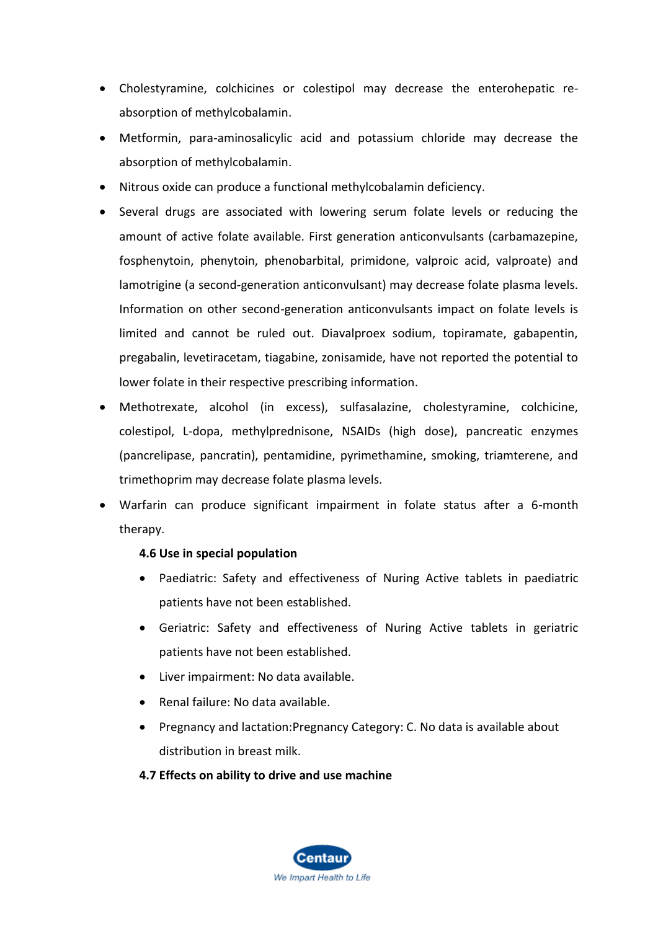- Cholestyramine, colchicines or colestipol may decrease the enterohepatic reabsorption of methylcobalamin.
- Metformin, para-aminosalicylic acid and potassium chloride may decrease the absorption of methylcobalamin.
- Nitrous oxide can produce a functional methylcobalamin deficiency.
- Several drugs are associated with lowering serum folate levels or reducing the amount of active folate available. First generation anticonvulsants (carbamazepine, fosphenytoin, phenytoin, phenobarbital, primidone, valproic acid, valproate) and lamotrigine (a second-generation anticonvulsant) may decrease folate plasma levels. Information on other second-generation anticonvulsants impact on folate levels is limited and cannot be ruled out. Diavalproex sodium, topiramate, gabapentin, pregabalin, levetiracetam, tiagabine, zonisamide, have not reported the potential to lower folate in their respective prescribing information.
- Methotrexate, alcohol (in excess), sulfasalazine, cholestyramine, colchicine, colestipol, L-dopa, methylprednisone, NSAIDs (high dose), pancreatic enzymes (pancrelipase, pancratin), pentamidine, pyrimethamine, smoking, triamterene, and trimethoprim may decrease folate plasma levels.
- Warfarin can produce significant impairment in folate status after a 6-month therapy.

## **4.6 Use in special population**

- Paediatric: Safety and effectiveness of Nuring Active tablets in paediatric patients have not been established.
- Geriatric: Safety and effectiveness of Nuring Active tablets in geriatric patients have not been established.
- Liver impairment: No data available.
- Renal failure: No data available.
- Pregnancy and lactation:Pregnancy Category: C. No data is available about distribution in breast milk.

# **4.7 Effects on ability to drive and use machine**

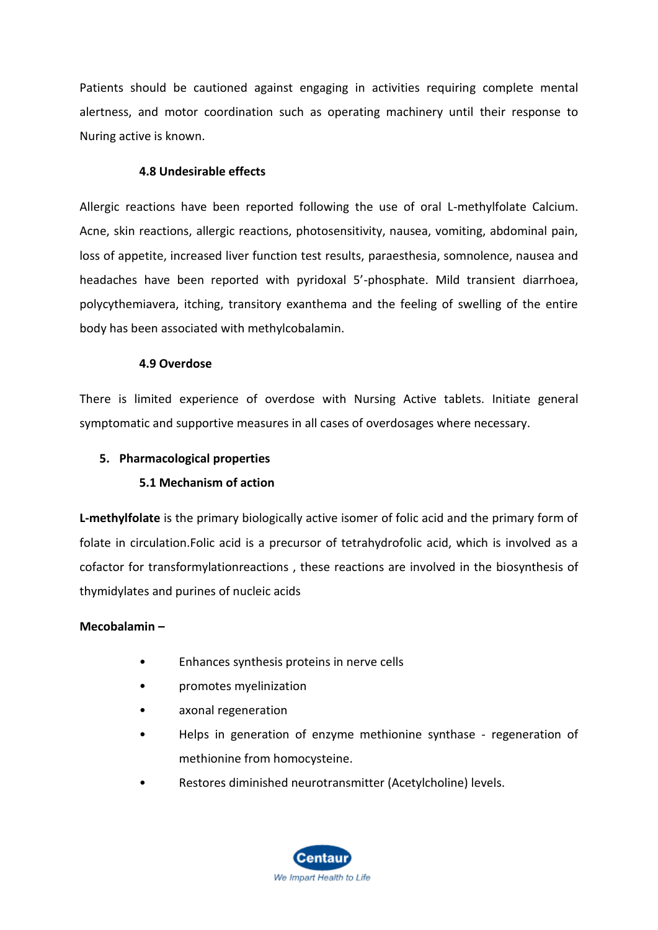Patients should be cautioned against engaging in activities requiring complete mental alertness, and motor coordination such as operating machinery until their response to Nuring active is known.

#### **4.8 Undesirable effects**

Allergic reactions have been reported following the use of oral L-methylfolate Calcium. Acne, skin reactions, allergic reactions, photosensitivity, nausea, vomiting, abdominal pain, loss of appetite, increased liver function test results, paraesthesia, somnolence, nausea and headaches have been reported with pyridoxal 5'-phosphate. Mild transient diarrhoea, polycythemiavera, itching, transitory exanthema and the feeling of swelling of the entire body has been associated with methylcobalamin.

#### **4.9 Overdose**

There is limited experience of overdose with Nursing Active tablets. Initiate general symptomatic and supportive measures in all cases of overdosages where necessary.

#### **5. Pharmacological properties**

## **5.1 Mechanism of action**

**L-methylfolate** is the primary biologically active isomer of folic acid and the primary form of folate in circulation.Folic acid is a precursor of tetrahydrofolic acid, which is involved as a cofactor for transformylationreactions , these reactions are involved in the biosynthesis of thymidylates and purines of nucleic acids

#### **Mecobalamin –**

- Enhances synthesis proteins in nerve cells
- promotes myelinization
- axonal regeneration
- Helps in generation of enzyme methionine synthase regeneration of methionine from homocysteine.
- Restores diminished neurotransmitter (Acetylcholine) levels.

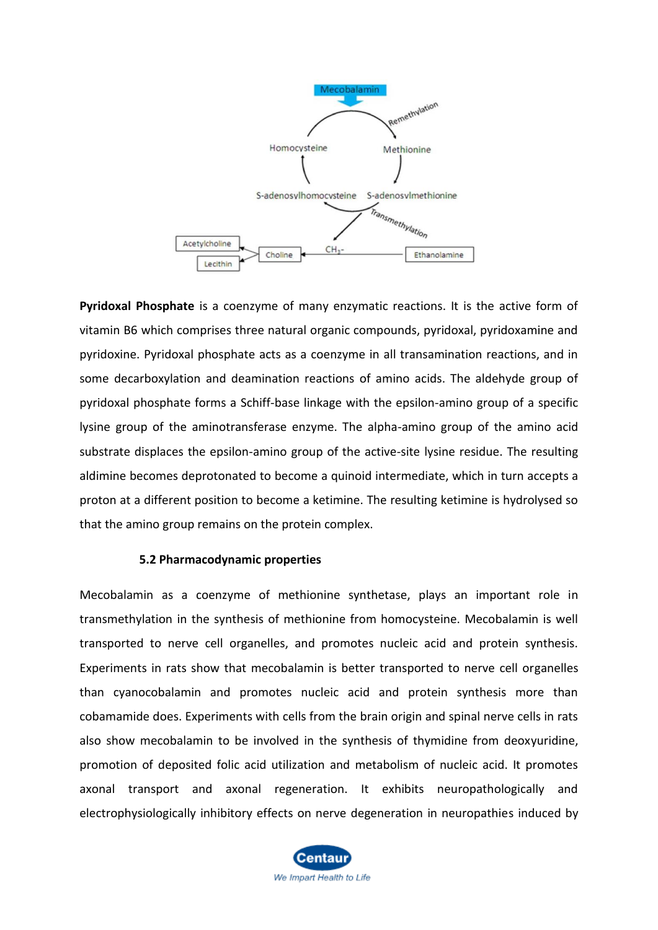

**Pyridoxal Phosphate** is a coenzyme of many enzymatic reactions. It is the active form of vitamin B6 which comprises three natural organic compounds, pyridoxal, pyridoxamine and pyridoxine. Pyridoxal phosphate acts as a coenzyme in all transamination reactions, and in some decarboxylation and deamination reactions of amino acids. The aldehyde group of pyridoxal phosphate forms a Schiff-base linkage with the epsilon-amino group of a specific lysine group of the aminotransferase enzyme. The alpha-amino group of the amino acid substrate displaces the epsilon-amino group of the active-site lysine residue. The resulting aldimine becomes deprotonated to become a quinoid intermediate, which in turn accepts a proton at a different position to become a ketimine. The resulting ketimine is hydrolysed so that the amino group remains on the protein complex.

#### **5.2 Pharmacodynamic properties**

Mecobalamin as a coenzyme of methionine synthetase, plays an important role in transmethylation in the synthesis of methionine from homocysteine. Mecobalamin is well transported to nerve cell organelles, and promotes nucleic acid and protein synthesis. Experiments in rats show that mecobalamin is better transported to nerve cell organelles than cyanocobalamin and promotes nucleic acid and protein synthesis more than cobamamide does. Experiments with cells from the brain origin and spinal nerve cells in rats also show mecobalamin to be involved in the synthesis of thymidine from deoxyuridine, promotion of deposited folic acid utilization and metabolism of nucleic acid. It promotes axonal transport and axonal regeneration. It exhibits neuropathologically and electrophysiologically inhibitory effects on nerve degeneration in neuropathies induced by

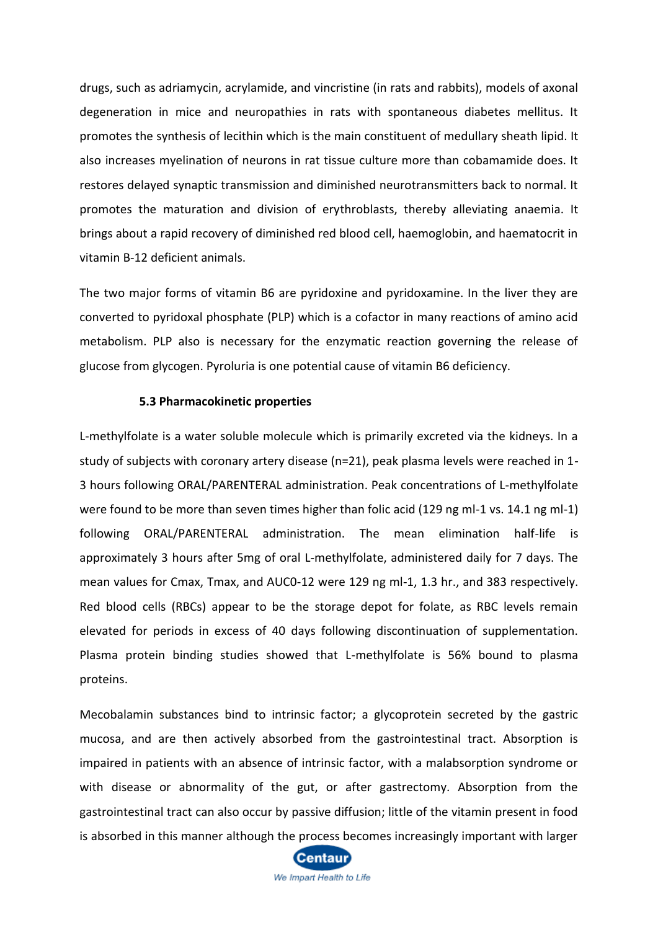drugs, such as adriamycin, acrylamide, and vincristine (in rats and rabbits), models of axonal degeneration in mice and neuropathies in rats with spontaneous diabetes mellitus. It promotes the synthesis of lecithin which is the main constituent of medullary sheath lipid. It also increases myelination of neurons in rat tissue culture more than cobamamide does. It restores delayed synaptic transmission and diminished neurotransmitters back to normal. It promotes the maturation and division of erythroblasts, thereby alleviating anaemia. It brings about a rapid recovery of diminished red blood cell, haemoglobin, and haematocrit in vitamin B-12 deficient animals.

The two major forms of vitamin B6 are pyridoxine and pyridoxamine. In the liver they are converted to pyridoxal phosphate (PLP) which is a cofactor in many reactions of amino acid metabolism. PLP also is necessary for the enzymatic reaction governing the release of glucose from glycogen. Pyroluria is one potential cause of vitamin B6 deficiency.

#### **5.3 Pharmacokinetic properties**

L-methylfolate is a water soluble molecule which is primarily excreted via the kidneys. In a study of subjects with coronary artery disease (n=21), peak plasma levels were reached in 1- 3 hours following ORAL/PARENTERAL administration. Peak concentrations of L-methylfolate were found to be more than seven times higher than folic acid (129 ng ml-1 vs. 14.1 ng ml-1) following ORAL/PARENTERAL administration. The mean elimination half-life is approximately 3 hours after 5mg of oral L-methylfolate, administered daily for 7 days. The mean values for Cmax, Tmax, and AUC0-12 were 129 ng ml-1, 1.3 hr., and 383 respectively. Red blood cells (RBCs) appear to be the storage depot for folate, as RBC levels remain elevated for periods in excess of 40 days following discontinuation of supplementation. Plasma protein binding studies showed that L-methylfolate is 56% bound to plasma proteins.

Mecobalamin substances bind to intrinsic factor; a glycoprotein secreted by the gastric mucosa, and are then actively absorbed from the gastrointestinal tract. Absorption is impaired in patients with an absence of intrinsic factor, with a malabsorption syndrome or with disease or abnormality of the gut, or after gastrectomy. Absorption from the gastrointestinal tract can also occur by passive diffusion; little of the vitamin present in food is absorbed in this manner although the process becomes increasingly important with larger



We Impart Health to Life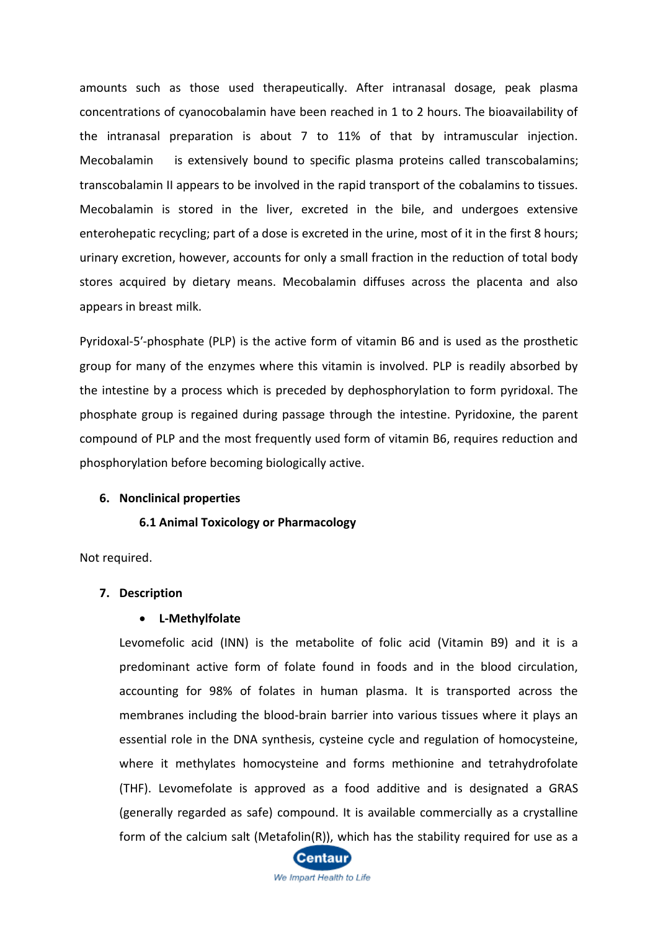amounts such as those used therapeutically. After intranasal dosage, peak plasma concentrations of cyanocobalamin have been reached in 1 to 2 hours. The bioavailability of the intranasal preparation is about 7 to 11% of that by intramuscular injection. Mecobalamin is extensively bound to specific plasma proteins called transcobalamins; transcobalamin II appears to be involved in the rapid transport of the cobalamins to tissues. Mecobalamin is stored in the liver, excreted in the bile, and undergoes extensive enterohepatic recycling; part of a dose is excreted in the urine, most of it in the first 8 hours; urinary excretion, however, accounts for only a small fraction in the reduction of total body stores acquired by dietary means. Mecobalamin diffuses across the placenta and also appears in breast milk.

Pyridoxal-5′-phosphate (PLP) is the active form of vitamin B6 and is used as the prosthetic group for many of the enzymes where this vitamin is involved. PLP is readily absorbed by the intestine by a process which is preceded by dephosphorylation to form pyridoxal. The phosphate group is regained during passage through the intestine. Pyridoxine, the parent compound of PLP and the most frequently used form of vitamin B6, requires reduction and phosphorylation before becoming biologically active.

#### **6. Nonclinical properties**

#### **6.1 Animal Toxicology or Pharmacology**

Not required.

#### **7. Description**

#### • **L-Methylfolate**

Levomefolic acid (INN) is the metabolite of folic acid (Vitamin B9) and it is a predominant active form of folate found in foods and in the blood circulation, accounting for 98% of folates in human plasma. It is transported across the membranes including the blood-brain barrier into various tissues where it plays an essential role in the DNA synthesis, cysteine cycle and regulation of homocysteine, where it methylates homocysteine and forms methionine and tetrahydrofolate (THF). Levomefolate is approved as a food additive and is designated a GRAS (generally regarded as safe) compound. It is available commercially as a crystalline form of the calcium salt (Metafolin(R)), which has the stability required for use as a

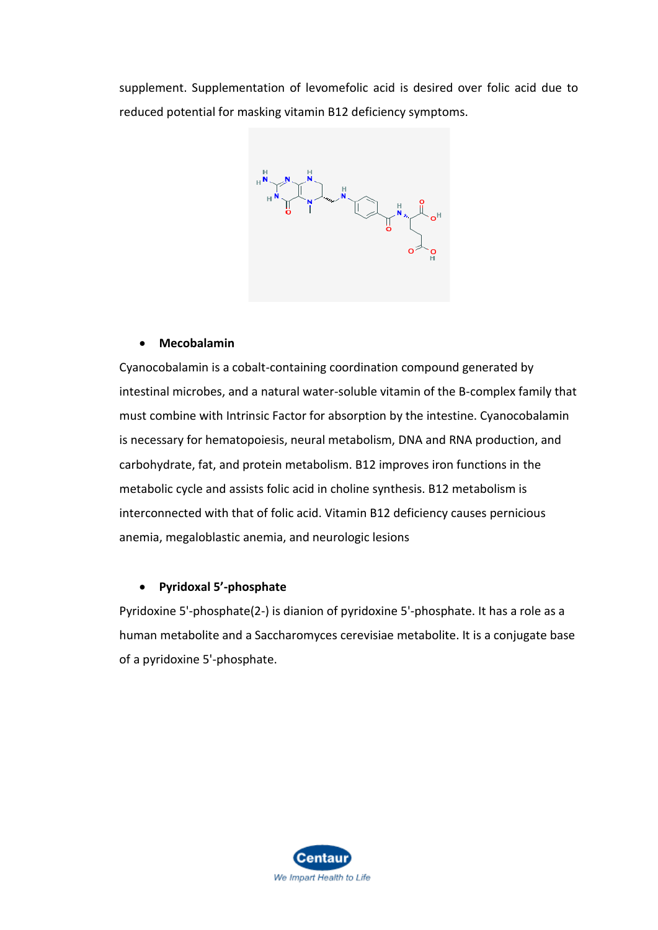supplement. Supplementation of levomefolic acid is desired over folic acid due to reduced potential for masking vitamin B12 deficiency symptoms.



## • **Mecobalamin**

Cyanocobalamin is a cobalt-containing coordination compound generated by intestinal microbes, and a natural water-soluble vitamin of the B-complex family that must combine with Intrinsic Factor for absorption by the intestine. Cyanocobalamin is necessary for hematopoiesis, neural metabolism, DNA and RNA production, and carbohydrate, fat, and protein metabolism. B12 improves iron functions in the metabolic cycle and assists folic acid in choline synthesis. B12 metabolism is interconnected with that of folic acid. Vitamin B12 deficiency causes pernicious anemia, megaloblastic anemia, and neurologic lesions

## • **Pyridoxal 5'-phosphate**

Pyridoxine 5'-phosphate(2-) is dianion of pyridoxine 5'-phosphate. It has a role as a human metabolite and a Saccharomyces cerevisiae metabolite. It is a conjugate base of a pyridoxine 5'-phosphate.

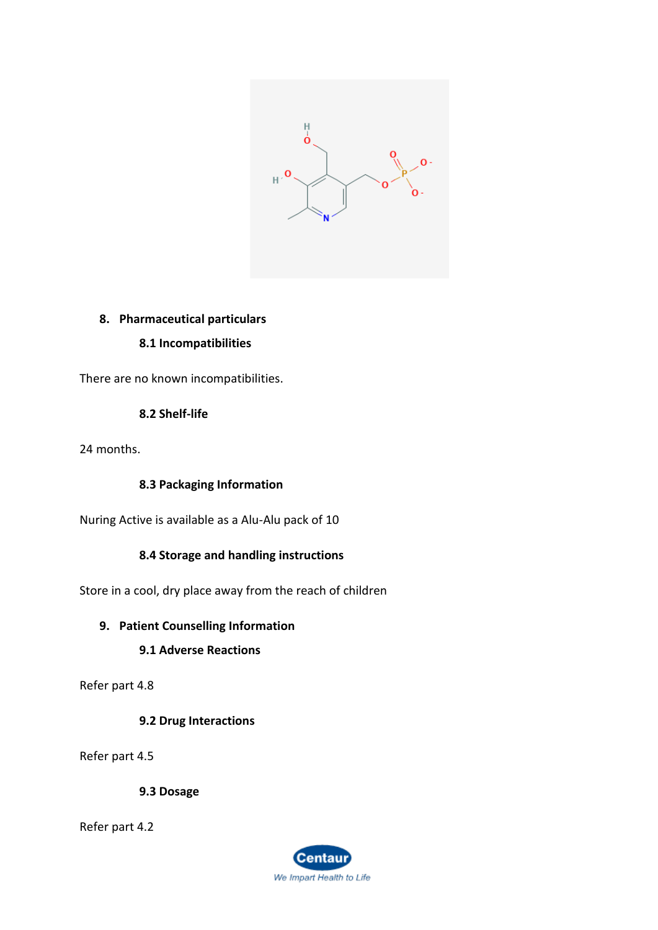

# **8. Pharmaceutical particulars**

# **8.1 Incompatibilities**

There are no known incompatibilities.

# **8.2 Shelf-life**

24 months.

## **8.3 Packaging Information**

Nuring Active is available as a Alu-Alu pack of 10

## **8.4 Storage and handling instructions**

Store in a cool, dry place away from the reach of children

## **9. Patient Counselling Information**

# **9.1 Adverse Reactions**

Refer part 4.8

## **9.2 Drug Interactions**

Refer part 4.5

**9.3 Dosage**

Refer part 4.2